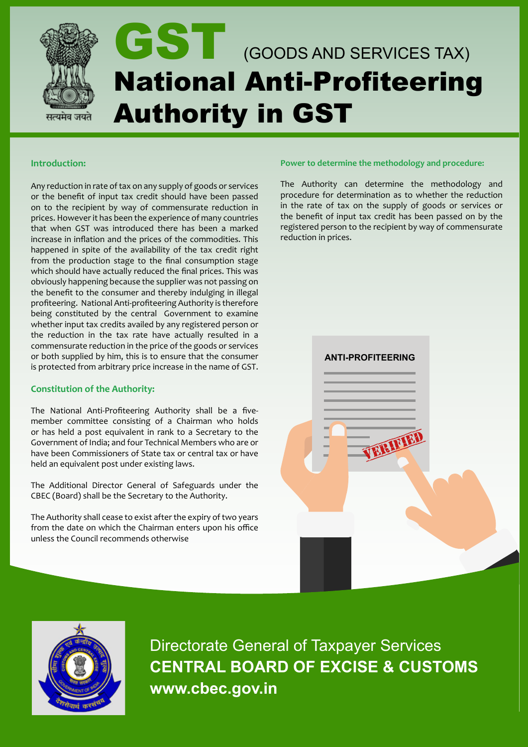

#### **Introduction:**

Any reduction in rate of tax on any supply of goods or services or the benefit of input tax credit should have been passed on to the recipient by way of commensurate reduction in prices. However it has been the experience of many countries that when GST was introduced there has been a marked increase in inflation and the prices of the commodities. This happened in spite of the availability of the tax credit right from the production stage to the final consumption stage which should have actually reduced the final prices. This was obviously happening because the supplier was not passing on the benefit to the consumer and thereby indulging in illegal profiteering. National Anti-profiteering Authority is therefore being constituted by the central Government to examine whether input tax credits availed by any registered person or the reduction in the tax rate have actually resulted in a commensurate reduction in the price of the goods or services or both supplied by him, this is to ensure that the consumer is protected from arbitrary price increase in the name of GST.

# **Constitution of the Authority:**

The National Anti-Profiteering Authority shall be a fivemember committee consisting of a Chairman who holds or has held a post equivalent in rank to a Secretary to the Government of India; and four Technical Members who are or have been Commissioners of State tax or central tax or have held an equivalent post under existing laws.

The Additional Director General of Safeguards under the CBEC (Board) shall be the Secretary to the Authority.

The Authority shall cease to exist after the expiry of two years from the date on which the Chairman enters upon his office unless the Council recommends otherwise

#### **Power to determine the methodology and procedure:**

The Authority can determine the methodology and procedure for determination as to whether the reduction in the rate of tax on the supply of goods or services or the benefit of input tax credit has been passed on by the registered person to the recipient by way of commensurate reduction in prices.





Directorate General of Taxpayer Services **CENTRAL BOARD OF EXCISE & CUSTOMS www.cbec.gov.in**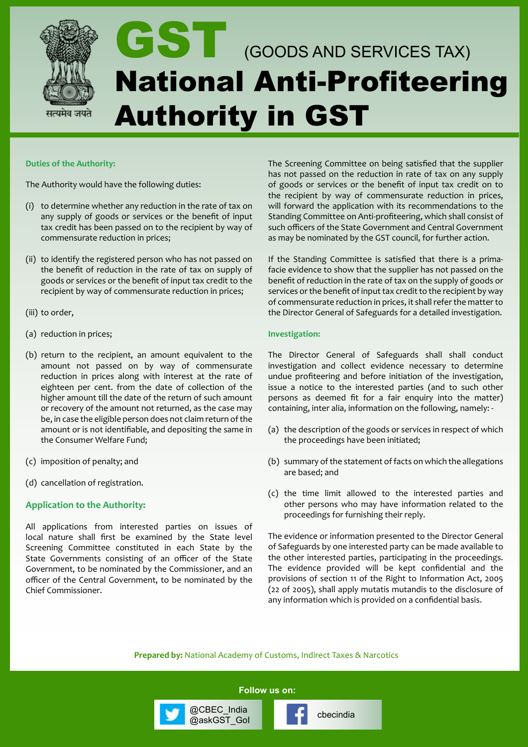

# GST (GOODS AND SERVICES TAX) National Anti-Profiteering Authority in GST

#### **Duties of the Authority:**

The Authority would have the following duties:

- (i) to determine whether any reduction in the rate of tax on any supply of goods or services or the benefit of input tax credit has been passed on to the recipient by way of commensurate reduction in prices;
- (ii) to identify the registered person who has not passed on the benefit of reduction in the rate of tax on supply of goods or services or the benefit of input tax credit to the recipient by way of commensurate reduction in prices;
- (iii) to order,
- (a) reduction in prices;
- (b) return to the recipient, an amount equivalent to the amount not passed on by way of commensurate reduction in prices along with interest at the rate of eighteen per cent. from the date of collection of the higher amount till the date of the return of such amount or recovery of the amount not returned, as the case may be, in case the eligible person does not claim return of the amount or is not identifiable, and depositing the same in the Consumer Welfare Fund;
- (c) imposition of penalty; and
- (d) cancellation of registration.

#### **Application to the Authority:**

All applications from interested parties on issues of local nature shall first be examined by the State level Screening Committee constituted in each State by the State Governments consisting of an officer of the State Government, to be nominated by the Commissioner, and an officer of the Central Government, to be nominated by the Chief Commissioner.

The Screening Committee on being satisfied that the supplier has not passed on the reduction in rate of tax on any supply of goods or services or the benefit of input tax credit on to the recipient by way of commensurate reduction in prices, will forward the application with its recommendations to the Standing Committee on Anti-profiteering, which shall consist of such officers of the State Government and Central Government as may be nominated by the GST council, for further action.

If the Standing Committee is satisfied that there is a primafacie evidence to show that the supplier has not passed on the benefit of reduction in the rate of tax on the supply of goods or services or the benefit of input tax credit to the recipient by way of commensurate reduction in prices, it shall refer the matter to the Director General of Safeguards for a detailed investigation.

#### **Investigation:**

The Director General of Safeguards shall shall conduct investigation and collect evidence necessary to determine undue profiteering and before initiation of the investigation, issue a notice to the interested parties (and to such other persons as deemed fit for a fair enquiry into the matter) containing, inter alia, information on the following, namely: -

- (a) the description of the goods or services in respect of which the proceedings have been initiated;
- (b) summary of the statement of facts on which the allegations are based; and
- (c) the time limit allowed to the interested parties and other persons who may have information related to the proceedings for furnishing their reply.

The evidence or information presented to the Director General of Safeguards by one interested party can be made available to the other interested parties, participating in the proceedings. The evidence provided will be kept confidential and the provisions of section 11 of the Right to Information Act, 2005 (22 of 2005), shall apply mutatis mutandis to the disclosure of any information which is provided on a confidential basis.

**Prepared by:** National Academy of Customs, Indirect Taxes & Narcotics

**Follow us on:**

@cbec\_india<br>@askGST\_Gol change cbecindia

@CBEC\_India